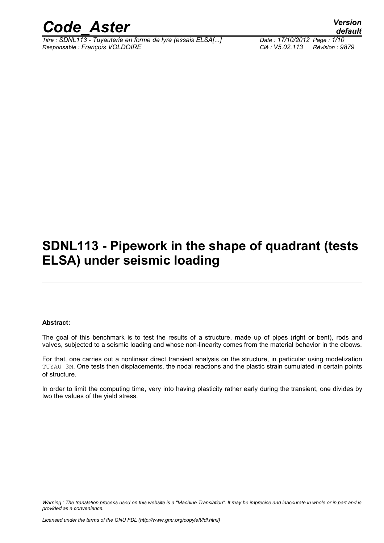

*Titre : SDNL113 - Tuyauterie en forme de lyre (essais ELSA[...] Date : 17/10/2012 Page : 1/10 Responsable : François VOLDOIRE Clé : V5.02.113 Révision : 9879*

*default*

## **SDNL113 - Pipework in the shape of quadrant (tests ELSA) under seismic loading**

#### **Abstract:**

The goal of this benchmark is to test the results of a structure, made up of pipes (right or bent), rods and valves, subjected to a seismic loading and whose non-linearity comes from the material behavior in the elbows.

For that, one carries out a nonlinear direct transient analysis on the structure, in particular using modelization TUYAU\_3M. One tests then displacements, the nodal reactions and the plastic strain cumulated in certain points of structure.

In order to limit the computing time, very into having plasticity rather early during the transient, one divides by two the values of the yield stress.

*Warning : The translation process used on this website is a "Machine Translation". It may be imprecise and inaccurate in whole or in part and is provided as a convenience.*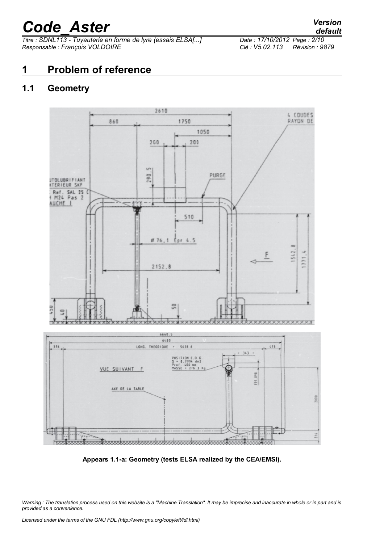*Titre : SDNL113 - Tuyauterie en forme de lyre (essais ELSA[...] Date : 17/10/2012 Page : 2/10 Responsable : François VOLDOIRE Clé : V5.02.113 Révision : 9879*

## **1 Problem of reference**

### **1.1 Geometry**



**Appears 1.1-a: Geometry (tests ELSA realized by the CEA/EMSI).**

*Warning : The translation process used on this website is a "Machine Translation". It may be imprecise and inaccurate in whole or in part and is provided as a convenience.*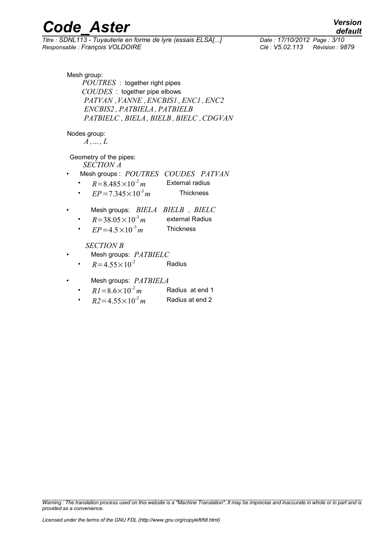*Titre : SDNL113 - Tuyauterie en forme de lyre (essais ELSA[...] Date : 17/10/2012 Page : 3/10 Responsable : François VOLDOIRE Clé : V5.02.113 Révision : 9879*

*default*

Mesh group: *POUTRES* : together right pipes *COUDES* : together pipe elbows *PATVAN ,VANNE ,ENCBIS1 , ENC1 ,ENC2 ENCBIS2 , PATBIELA, PATBIELB PATBIELC , BIELA, BIELB ,BIELC ,CDGVAN*

Nodes group:

 $A$ ,  $\dots$ ,  $L$ 

Geometry of the pipes:

*SECTION A*

- Mesh groups : *POUTRES COUDES PATVAN*
	- $R = 8.485 \times 10^{-2} m$ **External radius**
	- $EP = 7.345 \times 10^{-3} m$ *m* Thickness
- Mesh groups: *BIELA BIELB* , *BIELC*
	- $R = 38.05 \times 10^{-3} m$ **external Radius**
	- $EP = 4.5 \times 10^{-3} m$ *m* Thickness

#### *SECTION B*

- Mesh groups: *PATBIELC*
	- $R=4.55\times10^{-2}$  Radius
- Mesh groups: *PATBIELA*
	- $R1 = 8.6 \times 10^{-2} m$ *m* Radius at end 1
	- $R2 = 4.55 \times 10^{-2} m$ *m* Radius at end 2

*Warning : The translation process used on this website is a "Machine Translation". It may be imprecise and inaccurate in whole or in part and is provided as a convenience.*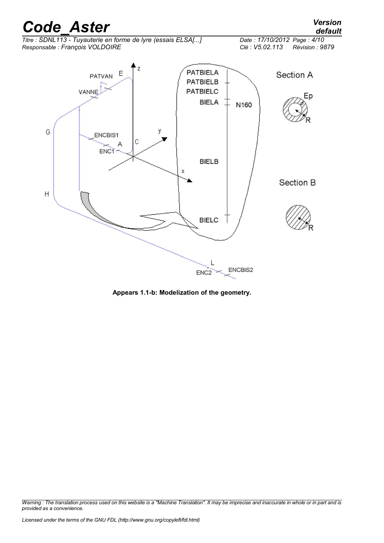*Titre : SDNL113 - Tuyauterie en forme de lyre (essais ELSA[...] Date : 17/10/2012 Page : 4/10 Responsable : François VOLDOIRE Clé : V5.02.113 Révision : 9879*



**Appears 1.1-b: Modelization of the geometry.**

*Warning : The translation process used on this website is a "Machine Translation". It may be imprecise and inaccurate in whole or in part and is provided as a convenience.*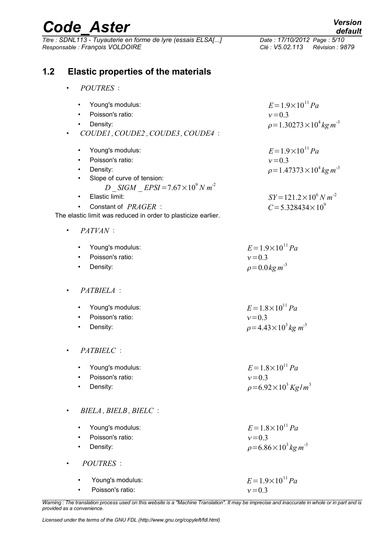| <b>Code Aster</b>                                                                                                                                                                                                                                        | <b>Version</b><br>default                                                                                                                                  |
|----------------------------------------------------------------------------------------------------------------------------------------------------------------------------------------------------------------------------------------------------------|------------------------------------------------------------------------------------------------------------------------------------------------------------|
| Titre : SDNL113 - Tuyauterie en forme de lyre (essais ELSA[]<br>Responsable : François VOLDOIRE                                                                                                                                                          | Date: 17/10/2012 Page: 5/10<br>Clé : V5.02.113<br>Révision : 9879                                                                                          |
| 1.2<br><b>Elastic properties of the materials</b>                                                                                                                                                                                                        |                                                                                                                                                            |
| <b>POUTRES</b> :                                                                                                                                                                                                                                         |                                                                                                                                                            |
| Young's modulus:<br>$\bullet$<br>Poisson's ratio:<br>Density:<br>COUDE1, COUDE2, COUDE3, COUDE4:                                                                                                                                                         | $E = 1.9 \times 10^{11} Pa$<br>$v = 0.3$<br>$\rho = 1.30273 \times 10^4 \text{ kg m}^3$                                                                    |
| Young's modulus:<br>٠<br>Poisson's ratio:<br>$\bullet$<br>Density:<br>Slope of curve of tension:<br>$\bullet$<br>$D$ _ SIGM _ EPSI = 7.67 $\times$ 10 <sup>9</sup> N m <sup>-2</sup><br>Elastic limit:<br>$\bullet$<br>Constant of PRAGER :<br>$\bullet$ | $E = 1.9 \times 10^{11} Pa$<br>$v = 0.3$<br>$\rho = 1.47373 \times 10^4 \text{ kg m}^{-3}$<br>$SY = 121.2 \times 10^6 N m^2$<br>$C = 5.328434 \times 10^9$ |
| The elastic limit was reduced in order to plasticize earlier.<br>PATVAN:<br>$\bullet$                                                                                                                                                                    |                                                                                                                                                            |
| Young's modulus:<br>$\bullet$<br>Poisson's ratio:<br>$\bullet$<br>Density:                                                                                                                                                                               | $E = 1.9 \times 10^{11} Pa$<br>$v = 0.3$<br>$\rho = 0.0$ kg m <sup>-3</sup>                                                                                |
| PATBIELA :<br>$\bullet$                                                                                                                                                                                                                                  |                                                                                                                                                            |
| Young's modulus:<br>Poisson's ratio:<br>Density:                                                                                                                                                                                                         | $E = 1.8 \times 10^{11} Pa$<br>$v = 0.3$<br>$\rho = 4.43 \times 10^3 kg m^3$                                                                               |
| PATBIELC :<br>$\bullet$                                                                                                                                                                                                                                  |                                                                                                                                                            |
| Young's modulus:<br>$\bullet$<br>Poisson's ratio:<br>Density:                                                                                                                                                                                            | $E = 1.8 \times 10^{11} Pa$<br>$v = 0.3$<br>$\rho = 6.92 \times 10^3 \text{ kg/m}^3$                                                                       |
| BIELA, BIELB, BIELC:<br>$\bullet$                                                                                                                                                                                                                        |                                                                                                                                                            |
| Young's modulus:<br>$\bullet$<br>Poisson's ratio:<br>Density:                                                                                                                                                                                            | $E = 1.8 \times 10^{11} Pa$<br>$v = 0.3$<br>$\rho = 6.86 \times 10^3 \text{ kg m}^{-3}$                                                                    |
| <b>POUTRES</b> :<br>$\bullet$                                                                                                                                                                                                                            |                                                                                                                                                            |
| Young's modulus:<br>$\bullet$<br>Poisson's ratio:                                                                                                                                                                                                        | $E = 1.9 \times 10^{11} Pa$<br>$v = 0.3$                                                                                                                   |

*Warning : The translation process used on this website is a "Machine Translation". It may be imprecise and inaccurate in whole or in part and is provided as a convenience.*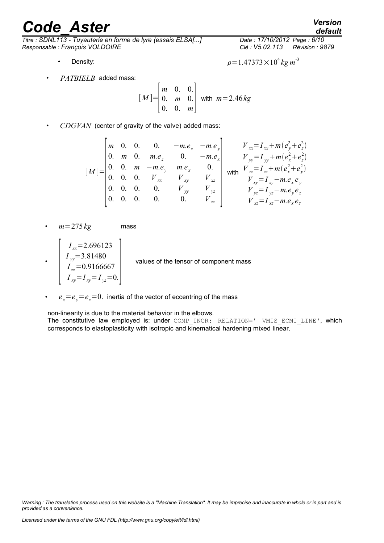*Titre : SDNL113 - Tuyauterie en forme de lyre (essais ELSA[...] Date : 17/10/2012 Page : 6/10 Responsable : François VOLDOIRE Clé : V5.02.113 Révision : 9879*

- 
- *PATBIELB* added mass:

$$
[M] = \begin{bmatrix} m & 0 & 0 \\ 0 & m & 0 \\ 0 & 0 & m \end{bmatrix}
$$
 with  $m = 2.46 \, kg$ 

• *CDGVAN* (center of gravity of the valve) added mass:

$$
\begin{bmatrix} M \end{bmatrix} = \begin{bmatrix} m & 0 & 0 & 0 & -me_z & -me_y \\ 0 & m & 0 & me_z & 0 & -me_x \\ 0 & 0 & m & -me_y & me_x & 0 \\ 0 & 0 & 0 & V_{xx} & V_{yy} & V_{zz} \\ 0 & 0 & 0 & 0 & V_{yy} & V_{yz} \\ 0 & 0 & 0 & 0 & 0 & V_{yy} & V_{yz} \\ 0 & 0 & 0 & 0 & 0 & V_{yy} & V_{zz} \\ 0 & 0 & 0 & 0 & 0 & 0 & V_{zz} \end{bmatrix} \text{ with } V_{xz} = I_{zx} + m(e_x^2 + e_y^2) \nV_{xy} = I_{xy} - m.e_x e_y \nV_{yz} = I_{xy} - m.e_x e_z \nV_{yz} = I_{yz} - m.e_y e_z \nV_{xz} = I_{xz} - m.e_y e_z
$$

- $m=275~kg$  mass
- $\begin{bmatrix} 1 & 1 \\ 1 & 1 \end{bmatrix}$ *I xx*=2.696123 *I yy*=3.81480 *I zz*=0.9166667  $I_{xy} = I_{xy} = I_{yz} = 0.$ values of the tensor of component mass
- $e_x = e_y = e_z = 0$ . inertia of the vector of eccentring of the mass

non-linearity is due to the material behavior in the elbows.

The constitutive law employed is: under COMP\_INCR: RELATION=' VMIS ECMI\_LINE', which corresponds to elastoplasticity with isotropic and kinematical hardening mixed linear.

*default*

• Density: 
$$
\rho = 1.47373 \times 10^4 \text{ kg m}^3
$$

*Warning : The translation process used on this website is a "Machine Translation". It may be imprecise and inaccurate in whole or in part and is provided as a convenience.*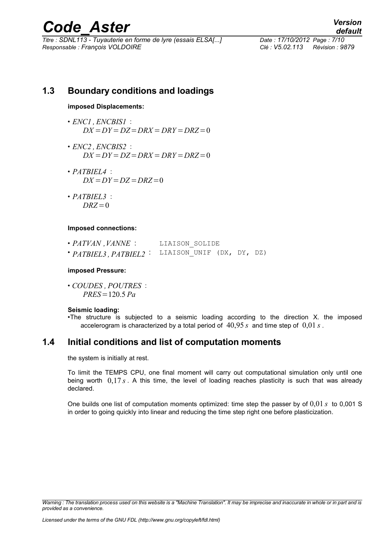*Titre : SDNL113 - Tuyauterie en forme de lyre (essais ELSA[...] Date : 17/10/2012 Page : 7/10 Responsable : François VOLDOIRE Clé : V5.02.113 Révision : 9879*

*default*

### **1.3 Boundary conditions and loadings**

#### **imposed Displacements:**

- *ENC1 , ENCBIS1* :  $DX = DY = DZ = DRX = DRY = DRZ = 0$
- *ENC2 , ENCBIS2* :  $DX = DY = DZ = DRX = DRY = DRZ = 0$
- *PATBIEL4* :  $DX = DY = DZ = DRZ = 0$
- *PATBIEL3* :  $DRZ=0$

#### **Imposed connections:**

| $\cdot$ PATVAN, VANNE :                        | LIAISON SOLIDE |  |  |
|------------------------------------------------|----------------|--|--|
| 'PATBIEL3, PATBIEL2: LIAISON_UNIF (DX, DY, DZ) |                |  |  |

#### **imposed Pressure:**

• *COUDES , POUTRES* : *PRES*=120.5 *Pa*

#### **Seismic loading:**

•The structure is subjected to a seismic loading according to the direction X. the imposed accelerogram is characterized by a total period of 40,95 *s* and time step of 0,01 *s* .

### **1.4 Initial conditions and list of computation moments**

the system is initially at rest.

To limit the TEMPS CPU, one final moment will carry out computational simulation only until one being worth 0,17 *s* . A this time, the level of loading reaches plasticity is such that was already declared.

One builds one list of computation moments optimized: time step the passer by of 0,01 *s* to 0,001 S in order to going quickly into linear and reducing the time step right one before plasticization.

*Warning : The translation process used on this website is a "Machine Translation". It may be imprecise and inaccurate in whole or in part and is provided as a convenience.*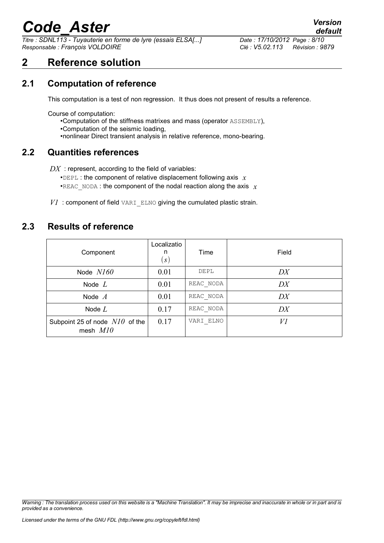*Titre : SDNL113 - Tuyauterie en forme de lyre (essais ELSA[...] Date : 17/10/2012 Page : 8/10 Responsable : François VOLDOIRE Clé : V5.02.113 Révision : 9879*

## **2 Reference solution**

### **2.1 Computation of reference**

This computation is a test of non regression. It thus does not present of results a reference.

Course of computation:

- •Computation of the stiffness matrixes and mass (operator ASSEMBLY),
- •Computation of the seismic loading,
- •nonlinear Direct transient analysis in relative reference, mono-bearing.

### **2.2 Quantities references**

DX : represent, according to the field of variables:

- •DEPL : the component of relative displacement following axis *x*
- •REAC\_NODA : the component of the nodal reaction along the axis  $\bar{x}$
- *V1* : component of field VARI ELNO giving the cumulated plastic strain.

### **2.3 Results of reference**

| Component                                      | Localizatio<br>n<br>$\left( s\right)$ | Time      | Field |
|------------------------------------------------|---------------------------------------|-----------|-------|
| Node $N160$                                    | 0.01                                  | DEPL      | DX    |
| Node $L$                                       | 0.01                                  | REAC NODA | DX    |
| Node $A$                                       | 0.01                                  | REAC NODA | DX    |
| Node $L$                                       | 0.17                                  | REAC NODA | DX    |
| Subpoint 25 of node $N10$ of the<br>mesh $M10$ | 0.17                                  | VARI ELNO | VI    |

*Warning : The translation process used on this website is a "Machine Translation". It may be imprecise and inaccurate in whole or in part and is provided as a convenience.*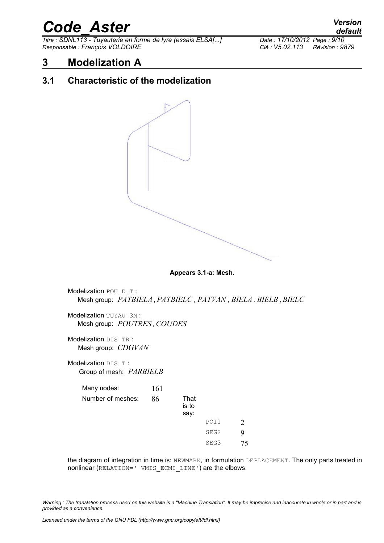*Titre : SDNL113 - Tuyauterie en forme de lyre (essais ELSA[...] Date : 17/10/2012 Page : 9/10 Responsable : François VOLDOIRE Clé : V5.02.113 Révision : 9879*

## **3 Modelization A**

### **3.1 Characteristic of the modelization**



**Appears 3.1-a: Mesh.**

Modelization POU D T : Mesh group: *PATBIELA ,PATBIELC , PATVAN , BIELA , BIELB ,BIELC* Modelization TUYAU 3M :

Mesh group: *POUTRES ,COUDES*

Modelization DIS\_TR : Mesh group: *CDGVAN*

Modelization DIS T: Group of mesh: *PARBIELB*

| Many nodes:       | 161 |                       |      |   |
|-------------------|-----|-----------------------|------|---|
| Number of meshes: | 86  | That<br>is to<br>say: |      |   |
|                   |     |                       | POI1 |   |
|                   |     |                       | SEG2 | Q |
|                   |     |                       | SEG3 |   |

the diagram of integration in time is: NEWMARK, in formulation DEPLACEMENT. The only parts treated in nonlinear (RELATION=' VMIS ECMI LINE') are the elbows.

*Warning : The translation process used on this website is a "Machine Translation". It may be imprecise and inaccurate in whole or in part and is provided as a convenience.*